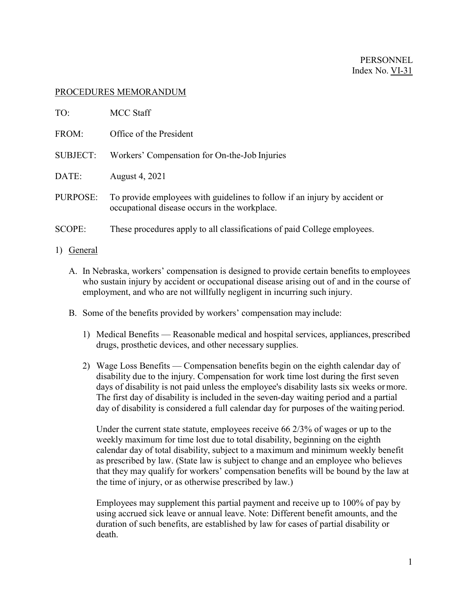## PROCEDURES MEMORANDUM

| TO:             | <b>MCC Staff</b>                                                                                                            |
|-----------------|-----------------------------------------------------------------------------------------------------------------------------|
| FROM:           | Office of the President                                                                                                     |
| <b>SUBJECT:</b> | Workers' Compensation for On-the-Job Injuries                                                                               |
| DATE:           | August 4, 2021                                                                                                              |
| PURPOSE:        | To provide employees with guidelines to follow if an injury by accident or<br>occupational disease occurs in the workplace. |
| <b>SCOPE:</b>   | These procedures apply to all classifications of paid College employees.                                                    |
| 1)<br>General   |                                                                                                                             |

- A. In Nebraska, workers' compensation is designed to provide certain benefits to employees who sustain injury by accident or occupational disease arising out of and in the course of employment, and who are not willfully negligent in incurring such injury.
- B. Some of the benefits provided by workers' compensation may include:
	- 1) Medical Benefits Reasonable medical and hospital services, appliances, prescribed drugs, prosthetic devices, and other necessary supplies.
	- 2) Wage Loss Benefits Compensation benefits begin on the eighth calendar day of disability due to the injury. Compensation for work time lost during the first seven days of disability is not paid unless the employee's disability lasts six weeks ormore. The first day of disability is included in the seven-day waiting period and a partial day of disability is considered a full calendar day for purposes of the waiting period.

Under the current state statute, employees receive 66 2/3% of wages or up to the weekly maximum for time lost due to total disability, beginning on the eighth calendar day of total disability, subject to a maximum and minimum weekly benefit as prescribed by law. (State law is subject to change and an employee who believes that they may qualify for workers' compensation benefits will be bound by the law at the time of injury, or as otherwise prescribed by law.)

Employees may supplement this partial payment and receive up to 100% of pay by using accrued sick leave or annual leave. Note: Different benefit amounts, and the duration of such benefits, are established by law for cases of partial disability or death.